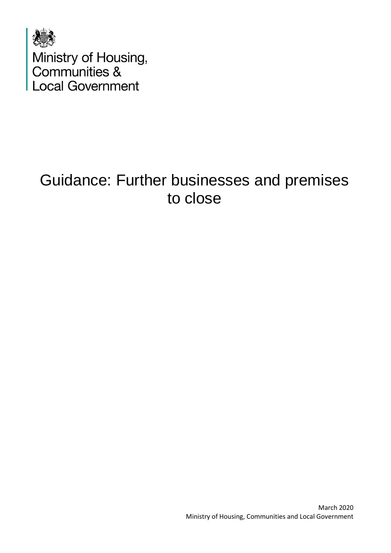

# Guidance: Further businesses and premises to close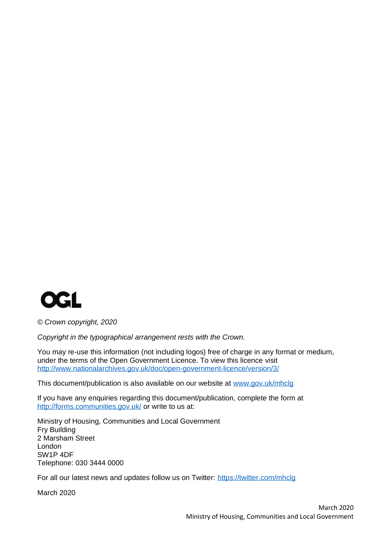

*© Crown copyright, 2020*

*Copyright in the typographical arrangement rests with the Crown.*

You may re-use this information (not including logos) free of charge in any format or medium, under the terms of the Open Government Licence. To view this licence visit <http://www.nationalarchives.gov.uk/doc/open-government-licence/version/3/>

This document/publication is also available on our website at [www.gov.uk/mhclg](http://www.gov.uk/mhclg)

If you have any enquiries regarding this document/publication, complete the form at <http://forms.communities.gov.uk/> or write to us at:

Ministry of Housing, Communities and Local Government Fry Building 2 Marsham Street London SW1P 4DF Telephone: 030 3444 0000

For all our latest news and updates follow us on Twitter:<https://twitter.com/mhclg>

March 2020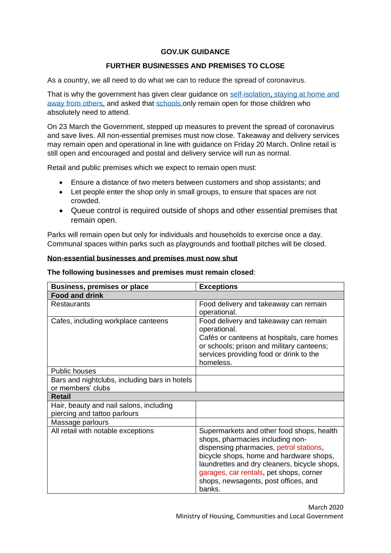## **GOV.UK GUIDANCE**

## **FURTHER BUSINESSES AND PREMISES TO CLOSE**

As a country, we all need to do what we can to reduce the spread of coronavirus.

That is why the government has given clear guidance on [self-isolation,](https://www.nhs.uk/conditions/coronavirus-covid-19/self-isolation-advice/) staying at home and [away from others,](https://www.gov.uk/government/publications/covid-19-stay-at-home-guidance) and asked that [schools](https://www.gov.uk/government/publications/coronavirus-covid-19-maintaining-educational-provision/guidance-for-schools-colleges-and-local-authorities-on-maintaining-educational-provision) only remain open for those children who absolutely need to attend.

On 23 March the Government, stepped up measures to prevent the spread of coronavirus and save lives. All non-essential premises must now close. Takeaway and delivery services may remain open and operational in line with guidance on Friday 20 March. Online retail is still open and encouraged and postal and delivery service will run as normal.

Retail and public premises which we expect to remain open must:

- Ensure a distance of two meters between customers and shop assistants; and
- Let people enter the shop only in small groups, to ensure that spaces are not crowded.
- Queue control is required outside of shops and other essential premises that remain open.

Parks will remain open but only for individuals and households to exercise once a day. Communal spaces within parks such as playgrounds and football pitches will be closed.

#### **Non-essential businesses and premises must now shut**

| <b>Business, premises or place</b>                                      | <b>Exceptions</b>                                                                                                                                                                                                                                                                                                |
|-------------------------------------------------------------------------|------------------------------------------------------------------------------------------------------------------------------------------------------------------------------------------------------------------------------------------------------------------------------------------------------------------|
| <b>Food and drink</b>                                                   |                                                                                                                                                                                                                                                                                                                  |
| Restaurants                                                             | Food delivery and takeaway can remain                                                                                                                                                                                                                                                                            |
|                                                                         | operational.                                                                                                                                                                                                                                                                                                     |
| Cafes, including workplace canteens                                     | Food delivery and takeaway can remain<br>operational.                                                                                                                                                                                                                                                            |
|                                                                         | Cafés or canteens at hospitals, care homes                                                                                                                                                                                                                                                                       |
|                                                                         | or schools; prison and military canteens;                                                                                                                                                                                                                                                                        |
|                                                                         | services providing food or drink to the                                                                                                                                                                                                                                                                          |
|                                                                         | homeless.                                                                                                                                                                                                                                                                                                        |
| <b>Public houses</b>                                                    |                                                                                                                                                                                                                                                                                                                  |
| Bars and nightclubs, including bars in hotels                           |                                                                                                                                                                                                                                                                                                                  |
| or members' clubs                                                       |                                                                                                                                                                                                                                                                                                                  |
| Retail                                                                  |                                                                                                                                                                                                                                                                                                                  |
| Hair, beauty and nail salons, including<br>piercing and tattoo parlours |                                                                                                                                                                                                                                                                                                                  |
| Massage parlours                                                        |                                                                                                                                                                                                                                                                                                                  |
| All retail with notable exceptions                                      | Supermarkets and other food shops, health<br>shops, pharmacies including non-<br>dispensing pharmacies, petrol stations,<br>bicycle shops, home and hardware shops,<br>laundrettes and dry cleaners, bicycle shops,<br>garages, car rentals, pet shops, corner<br>shops, newsagents, post offices, and<br>banks. |

#### **The following businesses and premises must remain closed**: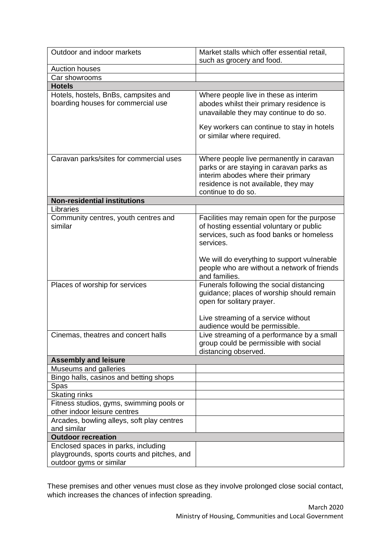| Outdoor and indoor markets                                                                                    | Market stalls which offer essential retail,<br>such as grocery and food.                                                                                                                                                                      |
|---------------------------------------------------------------------------------------------------------------|-----------------------------------------------------------------------------------------------------------------------------------------------------------------------------------------------------------------------------------------------|
| <b>Auction houses</b>                                                                                         |                                                                                                                                                                                                                                               |
| Car showrooms                                                                                                 |                                                                                                                                                                                                                                               |
| <b>Hotels</b>                                                                                                 |                                                                                                                                                                                                                                               |
| Hotels, hostels, BnBs, campsites and<br>boarding houses for commercial use                                    | Where people live in these as interim<br>abodes whilst their primary residence is<br>unavailable they may continue to do so.<br>Key workers can continue to stay in hotels<br>or similar where required.                                      |
|                                                                                                               |                                                                                                                                                                                                                                               |
| Caravan parks/sites for commercial uses                                                                       | Where people live permanently in caravan<br>parks or are staying in caravan parks as<br>interim abodes where their primary<br>residence is not available, they may<br>continue to do so.                                                      |
| <b>Non-residential institutions</b>                                                                           |                                                                                                                                                                                                                                               |
| Libraries                                                                                                     |                                                                                                                                                                                                                                               |
| Community centres, youth centres and<br>similar                                                               | Facilities may remain open for the purpose<br>of hosting essential voluntary or public<br>services, such as food banks or homeless<br>services.<br>We will do everything to support vulnerable<br>people who are without a network of friends |
| Places of worship for services                                                                                | and families.<br>Funerals following the social distancing<br>guidance; places of worship should remain<br>open for solitary prayer.<br>Live streaming of a service without<br>audience would be permissible.                                  |
| Cinemas, theatres and concert halls                                                                           | Live streaming of a performance by a small<br>group could be permissible with social<br>distancing observed.                                                                                                                                  |
| <b>Assembly and leisure</b>                                                                                   |                                                                                                                                                                                                                                               |
| Museums and galleries                                                                                         |                                                                                                                                                                                                                                               |
| Bingo halls, casinos and betting shops                                                                        |                                                                                                                                                                                                                                               |
| Spas                                                                                                          |                                                                                                                                                                                                                                               |
| Skating rinks                                                                                                 |                                                                                                                                                                                                                                               |
| Fitness studios, gyms, swimming pools or                                                                      |                                                                                                                                                                                                                                               |
| other indoor leisure centres                                                                                  |                                                                                                                                                                                                                                               |
| Arcades, bowling alleys, soft play centres<br>and similar                                                     |                                                                                                                                                                                                                                               |
| <b>Outdoor recreation</b>                                                                                     |                                                                                                                                                                                                                                               |
| Enclosed spaces in parks, including<br>playgrounds, sports courts and pitches, and<br>outdoor gyms or similar |                                                                                                                                                                                                                                               |

These premises and other venues must close as they involve prolonged close social contact, which increases the chances of infection spreading.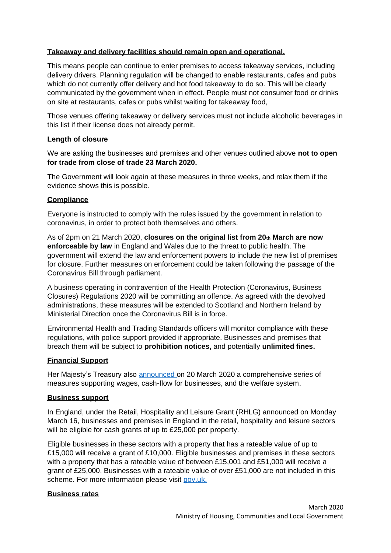### **Takeaway and delivery facilities should remain open and operational.**

This means people can continue to enter premises to access takeaway services, including delivery drivers. Planning regulation will be changed to enable restaurants, cafes and pubs which do not currently offer delivery and hot food takeaway to do so. This will be clearly communicated by the government when in effect. People must not consumer food or drinks on site at restaurants, cafes or pubs whilst waiting for takeaway food,

Those venues offering takeaway or delivery services must not include alcoholic beverages in this list if their license does not already permit.

#### **Length of closure**

We are asking the businesses and premises and other venues outlined above **not to open for trade from close of trade 23 March 2020.** 

The Government will look again at these measures in three weeks, and relax them if the evidence shows this is possible.

## **Compliance**

Everyone is instructed to comply with the rules issued by the government in relation to coronavirus, in order to protect both themselves and others.

As of 2pm on 21 March 2020, **closures on the original list from 20th March are now enforceable by law** in England and Wales due to the threat to public health. The government will extend the law and enforcement powers to include the new list of premises for closure. Further measures on enforcement could be taken following the passage of the Coronavirus Bill through parliament.

A business operating in contravention of the Health Protection (Coronavirus, Business Closures) Regulations 2020 will be committing an offence. As agreed with the devolved administrations, these measures will be extended to Scotland and Northern Ireland by Ministerial Direction once the Coronavirus Bill is in force.

Environmental Health and Trading Standards officers will monitor compliance with these regulations, with police support provided if appropriate. Businesses and premises that breach them will be subject to **prohibition notices,** and potentially **unlimited fines.**

## **Financial Support**

Her Majesty's Treasury also [announced](https://www.gov.uk/government/speeches/the-chancellor-rishi-sunak-provides-an-updated-statement-on-coronavirus) on 20 March 2020 a comprehensive series of measures supporting wages, cash-flow for businesses, and the welfare system.

#### **Business support**

In England, under the Retail, Hospitality and Leisure Grant (RHLG) announced on Monday March 16, businesses and premises in England in the retail, hospitality and leisure sectors will be eligible for cash grants of up to £25,000 per property.

Eligible businesses in these sectors with a property that has a rateable value of up to £15,000 will receive a grant of £10,000. Eligible businesses and premises in these sectors with a property that has a rateable value of between £15,001 and £51,000 will receive a grant of £25,000. Businesses with a rateable value of over £51,000 are not included in this scheme. For more information please visit [gov.uk.](https://www.gov.uk/government/publications/guidance-to-employers-and-businesses-about-covid-19/covid-19-support-for-businesses#support-for-businesses-that-pay-business-rates)

#### **Business rates**